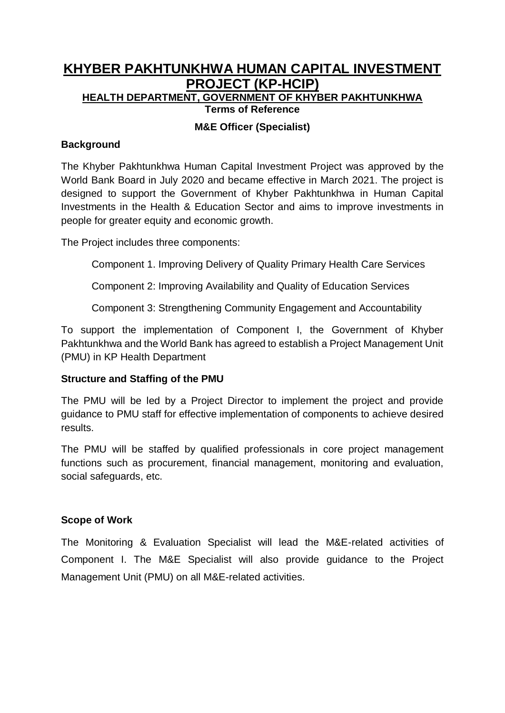# **KHYBER PAKHTUNKHWA HUMAN CAPITAL INVESTMENT PROJECT (KP-HCIP) HEALTH DEPARTMENT, GOVERNMENT OF KHYBER PAKHTUNKHWA Terms of Reference**

#### **M&E Officer (Specialist)**

#### **Background**

The Khyber Pakhtunkhwa Human Capital Investment Project was approved by the World Bank Board in July 2020 and became effective in March 2021. The project is designed to support the Government of Khyber Pakhtunkhwa in Human Capital Investments in the Health & Education Sector and aims to improve investments in people for greater equity and economic growth.

The Project includes three components:

Component 1. Improving Delivery of Quality Primary Health Care Services

Component 2: Improving Availability and Quality of Education Services

Component 3: Strengthening Community Engagement and Accountability

To support the implementation of Component I, the Government of Khyber Pakhtunkhwa and the World Bank has agreed to establish a Project Management Unit (PMU) in KP Health Department

### **Structure and Staffing of the PMU**

The PMU will be led by a Project Director to implement the project and provide guidance to PMU staff for effective implementation of components to achieve desired results.

The PMU will be staffed by qualified professionals in core project management functions such as procurement, financial management, monitoring and evaluation, social safeguards, etc.

#### **Scope of Work**

The Monitoring & Evaluation Specialist will lead the M&E-related activities of Component I. The M&E Specialist will also provide guidance to the Project Management Unit (PMU) on all M&E-related activities.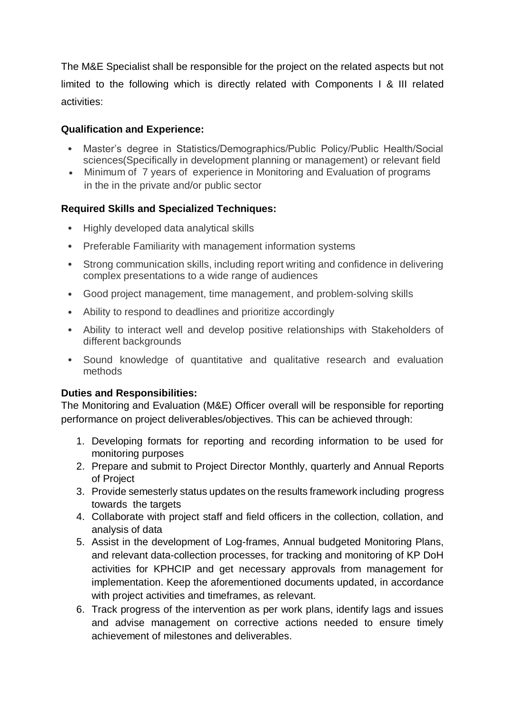The M&E Specialist shall be responsible for the project on the related aspects but not limited to the following which is directly related with Components I & III related activities:

## **Qualification and Experience:**

- Master's degree in Statistics/Demographics/Public Policy/Public Health/Social sciences(Specifically in development planning or management) or relevant field
- Minimum of 7 years of experience in Monitoring and Evaluation of programs in the in the private and/or public sector

# **Required Skills and Specialized Techniques:**

- Highly developed data analytical skills
- Preferable Familiarity with management information systems
- Strong communication skills, including report writing and confidence in delivering complex presentations to a wide range of audiences
- Good project management, time management, and problem-solving skills
- Ability to respond to deadlines and prioritize accordingly
- Ability to interact well and develop positive relationships with Stakeholders of different backgrounds
- Sound knowledge of quantitative and qualitative research and evaluation methods

# **Duties and Responsibilities:**

The Monitoring and Evaluation (M&E) Officer overall will be responsible for reporting performance on project deliverables/objectives. This can be achieved through:

- 1. Developing formats for reporting and recording information to be used for monitoring purposes
- 2. Prepare and submit to Project Director Monthly, quarterly and Annual Reports of Project
- 3. Provide semesterly status updates on the results framework including progress towards the targets
- 4. Collaborate with project staff and field officers in the collection, collation, and analysis of data
- 5. Assist in the development of Log-frames, Annual budgeted Monitoring Plans, and relevant data-collection processes, for tracking and monitoring of KP DoH activities for KPHCIP and get necessary approvals from management for implementation. Keep the aforementioned documents updated, in accordance with project activities and timeframes, as relevant.
- 6. Track progress of the intervention as per work plans, identify lags and issues and advise management on corrective actions needed to ensure timely achievement of milestones and deliverables.